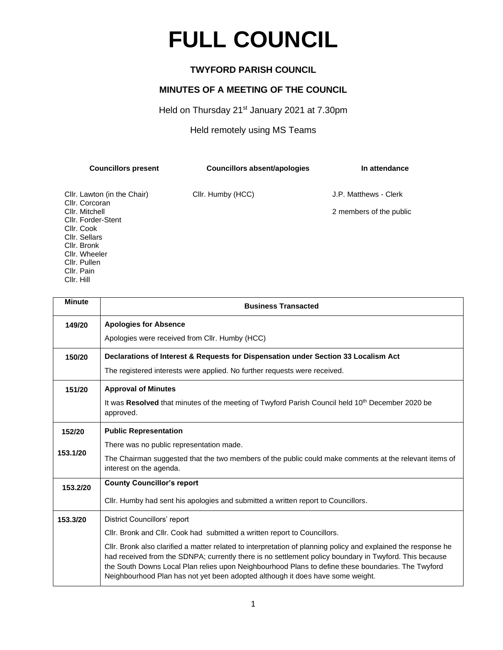## **FULL COUNCIL**

## **TWYFORD PARISH COUNCIL**

## **MINUTES OF A MEETING OF THE COUNCIL**

Held on Thursday 21<sup>st</sup> January 2021 at 7.30pm

Held remotely using MS Teams

| <b>Councillors present</b>                    | Councillors absent/apologies | In attendance           |
|-----------------------------------------------|------------------------------|-------------------------|
| Cllr. Lawton (in the Chair)<br>Cllr. Corcoran | Cllr. Humby (HCC)            | J.P. Matthews - Clerk   |
| Cllr. Mitchell                                |                              | 2 members of the public |
| Cllr. Forder-Stent                            |                              |                         |
| Cllr. Cook                                    |                              |                         |

Cllr. Sellars Cllr. Bronk Cllr. Wheeler Cllr. Pullen Cllr. Pain Cllr. Hill

| <b>Minute</b> | <b>Business Transacted</b>                                                                                                                                                                                                                                                                                                                                                                                       |  |  |
|---------------|------------------------------------------------------------------------------------------------------------------------------------------------------------------------------------------------------------------------------------------------------------------------------------------------------------------------------------------------------------------------------------------------------------------|--|--|
| 149/20        | <b>Apologies for Absence</b>                                                                                                                                                                                                                                                                                                                                                                                     |  |  |
|               | Apologies were received from Cllr. Humby (HCC)                                                                                                                                                                                                                                                                                                                                                                   |  |  |
| 150/20        | Declarations of Interest & Requests for Dispensation under Section 33 Localism Act                                                                                                                                                                                                                                                                                                                               |  |  |
|               | The registered interests were applied. No further requests were received.                                                                                                                                                                                                                                                                                                                                        |  |  |
| 151/20        | <b>Approval of Minutes</b>                                                                                                                                                                                                                                                                                                                                                                                       |  |  |
|               | It was Resolved that minutes of the meeting of Twyford Parish Council held 10 <sup>th</sup> December 2020 be<br>approved.                                                                                                                                                                                                                                                                                        |  |  |
| 152/20        | <b>Public Representation</b>                                                                                                                                                                                                                                                                                                                                                                                     |  |  |
|               | There was no public representation made.                                                                                                                                                                                                                                                                                                                                                                         |  |  |
| 153.1/20      | The Chairman suggested that the two members of the public could make comments at the relevant items of<br>interest on the agenda.                                                                                                                                                                                                                                                                                |  |  |
| 153.2/20      | <b>County Councillor's report</b>                                                                                                                                                                                                                                                                                                                                                                                |  |  |
|               | Cllr. Humby had sent his apologies and submitted a written report to Councillors.                                                                                                                                                                                                                                                                                                                                |  |  |
| 153.3/20      | District Councillors' report                                                                                                                                                                                                                                                                                                                                                                                     |  |  |
|               | CIIr. Bronk and CIIr. Cook had submitted a written report to Councillors.                                                                                                                                                                                                                                                                                                                                        |  |  |
|               | CIIr. Bronk also clarified a matter related to interpretation of planning policy and explained the response he<br>had received from the SDNPA; currently there is no settlement policy boundary in Twyford. This because<br>the South Downs Local Plan relies upon Neighbourhood Plans to define these boundaries. The Twyford<br>Neighbourhood Plan has not yet been adopted although it does have some weight. |  |  |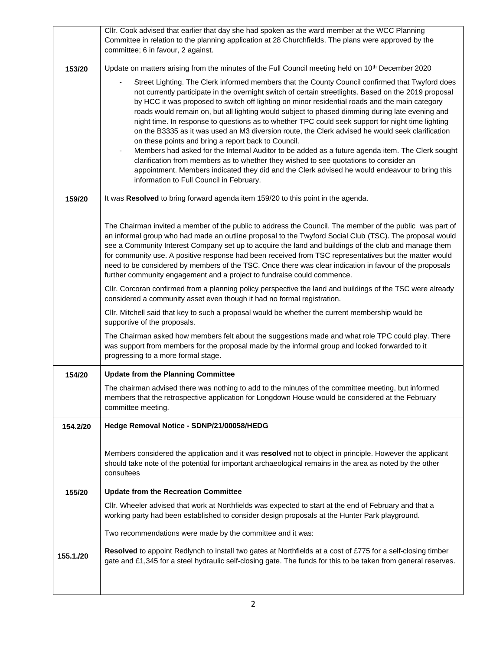|           | Cllr. Cook advised that earlier that day she had spoken as the ward member at the WCC Planning<br>Committee in relation to the planning application at 28 Churchfields. The plans were approved by the<br>committee; 6 in favour, 2 against.                                                                                                                                                                                                                                                                                                                                                                                                                                                                                                                                                                                                                                                                                                                                                                             |
|-----------|--------------------------------------------------------------------------------------------------------------------------------------------------------------------------------------------------------------------------------------------------------------------------------------------------------------------------------------------------------------------------------------------------------------------------------------------------------------------------------------------------------------------------------------------------------------------------------------------------------------------------------------------------------------------------------------------------------------------------------------------------------------------------------------------------------------------------------------------------------------------------------------------------------------------------------------------------------------------------------------------------------------------------|
| 153/20    | Update on matters arising from the minutes of the Full Council meeting held on 10 <sup>th</sup> December 2020                                                                                                                                                                                                                                                                                                                                                                                                                                                                                                                                                                                                                                                                                                                                                                                                                                                                                                            |
|           | Street Lighting. The Clerk informed members that the County Council confirmed that Twyford does<br>not currently participate in the overnight switch of certain streetlights. Based on the 2019 proposal<br>by HCC it was proposed to switch off lighting on minor residential roads and the main category<br>roads would remain on, but all lighting would subject to phased dimming during late evening and<br>night time. In response to questions as to whether TPC could seek support for night time lighting<br>on the B3335 as it was used an M3 diversion route, the Clerk advised he would seek clarification<br>on these points and bring a report back to Council.<br>Members had asked for the Internal Auditor to be added as a future agenda item. The Clerk sought<br>clarification from members as to whether they wished to see quotations to consider an<br>appointment. Members indicated they did and the Clerk advised he would endeavour to bring this<br>information to Full Council in February. |
| 159/20    | It was Resolved to bring forward agenda item 159/20 to this point in the agenda.                                                                                                                                                                                                                                                                                                                                                                                                                                                                                                                                                                                                                                                                                                                                                                                                                                                                                                                                         |
|           | The Chairman invited a member of the public to address the Council. The member of the public was part of<br>an informal group who had made an outline proposal to the Twyford Social Club (TSC). The proposal would<br>see a Community Interest Company set up to acquire the land and buildings of the club and manage them<br>for community use. A positive response had been received from TSC representatives but the matter would<br>need to be considered by members of the TSC. Once there was clear indication in favour of the proposals<br>further community engagement and a project to fundraise could commence.                                                                                                                                                                                                                                                                                                                                                                                             |
|           | CIIr. Corcoran confirmed from a planning policy perspective the land and buildings of the TSC were already<br>considered a community asset even though it had no formal registration.                                                                                                                                                                                                                                                                                                                                                                                                                                                                                                                                                                                                                                                                                                                                                                                                                                    |
|           | CIIr. Mitchell said that key to such a proposal would be whether the current membership would be<br>supportive of the proposals.                                                                                                                                                                                                                                                                                                                                                                                                                                                                                                                                                                                                                                                                                                                                                                                                                                                                                         |
|           | The Chairman asked how members felt about the suggestions made and what role TPC could play. There<br>was support from members for the proposal made by the informal group and looked forwarded to it<br>progressing to a more formal stage.                                                                                                                                                                                                                                                                                                                                                                                                                                                                                                                                                                                                                                                                                                                                                                             |
| 154/20    | <b>Update from the Planning Committee</b>                                                                                                                                                                                                                                                                                                                                                                                                                                                                                                                                                                                                                                                                                                                                                                                                                                                                                                                                                                                |
|           | The chairman advised there was nothing to add to the minutes of the committee meeting, but informed<br>members that the retrospective application for Longdown House would be considered at the February<br>committee meeting.                                                                                                                                                                                                                                                                                                                                                                                                                                                                                                                                                                                                                                                                                                                                                                                           |
| 154.2/20  | Hedge Removal Notice - SDNP/21/00058/HEDG                                                                                                                                                                                                                                                                                                                                                                                                                                                                                                                                                                                                                                                                                                                                                                                                                                                                                                                                                                                |
|           | Members considered the application and it was resolved not to object in principle. However the applicant<br>should take note of the potential for important archaeological remains in the area as noted by the other<br>consultees                                                                                                                                                                                                                                                                                                                                                                                                                                                                                                                                                                                                                                                                                                                                                                                       |
| 155/20    | <b>Update from the Recreation Committee</b>                                                                                                                                                                                                                                                                                                                                                                                                                                                                                                                                                                                                                                                                                                                                                                                                                                                                                                                                                                              |
|           | CIIr. Wheeler advised that work at Northfields was expected to start at the end of February and that a<br>working party had been established to consider design proposals at the Hunter Park playground.                                                                                                                                                                                                                                                                                                                                                                                                                                                                                                                                                                                                                                                                                                                                                                                                                 |
|           | Two recommendations were made by the committee and it was:                                                                                                                                                                                                                                                                                                                                                                                                                                                                                                                                                                                                                                                                                                                                                                                                                                                                                                                                                               |
| 155.1./20 | Resolved to appoint Redlynch to install two gates at Northfields at a cost of £775 for a self-closing timber<br>gate and £1,345 for a steel hydraulic self-closing gate. The funds for this to be taken from general reserves.                                                                                                                                                                                                                                                                                                                                                                                                                                                                                                                                                                                                                                                                                                                                                                                           |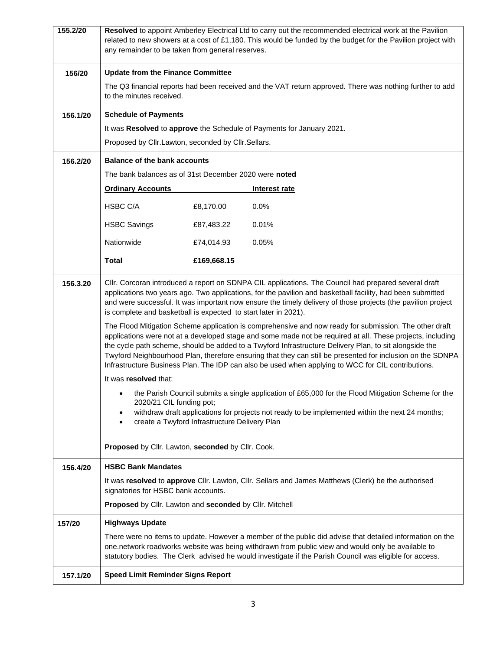| 155.2/20 | Resolved to appoint Amberley Electrical Ltd to carry out the recommended electrical work at the Pavilion<br>related to new showers at a cost of £1,180. This would be funded by the budget for the Pavilion project with<br>any remainder to be taken from general reserves.                                                                                                                                                                                                                                                                       |                                               |               |  |  |
|----------|----------------------------------------------------------------------------------------------------------------------------------------------------------------------------------------------------------------------------------------------------------------------------------------------------------------------------------------------------------------------------------------------------------------------------------------------------------------------------------------------------------------------------------------------------|-----------------------------------------------|---------------|--|--|
| 156/20   | <b>Update from the Finance Committee</b>                                                                                                                                                                                                                                                                                                                                                                                                                                                                                                           |                                               |               |  |  |
|          | The Q3 financial reports had been received and the VAT return approved. There was nothing further to add<br>to the minutes received.                                                                                                                                                                                                                                                                                                                                                                                                               |                                               |               |  |  |
| 156.1/20 | <b>Schedule of Payments</b>                                                                                                                                                                                                                                                                                                                                                                                                                                                                                                                        |                                               |               |  |  |
|          | It was Resolved to approve the Schedule of Payments for January 2021.                                                                                                                                                                                                                                                                                                                                                                                                                                                                              |                                               |               |  |  |
|          | Proposed by Cllr.Lawton, seconded by Cllr.Sellars.                                                                                                                                                                                                                                                                                                                                                                                                                                                                                                 |                                               |               |  |  |
| 156.2/20 |                                                                                                                                                                                                                                                                                                                                                                                                                                                                                                                                                    | <b>Balance of the bank accounts</b>           |               |  |  |
|          | The bank balances as of 31st December 2020 were noted                                                                                                                                                                                                                                                                                                                                                                                                                                                                                              |                                               |               |  |  |
|          | <b>Ordinary Accounts</b>                                                                                                                                                                                                                                                                                                                                                                                                                                                                                                                           |                                               | Interest rate |  |  |
|          | HSBC C/A                                                                                                                                                                                                                                                                                                                                                                                                                                                                                                                                           | £8,170.00                                     | 0.0%          |  |  |
|          | <b>HSBC Savings</b>                                                                                                                                                                                                                                                                                                                                                                                                                                                                                                                                | £87,483.22                                    | 0.01%         |  |  |
|          | Nationwide                                                                                                                                                                                                                                                                                                                                                                                                                                                                                                                                         | £74,014.93                                    | 0.05%         |  |  |
|          | <b>Total</b>                                                                                                                                                                                                                                                                                                                                                                                                                                                                                                                                       | £169,668.15                                   |               |  |  |
| 156.3.20 | CIIr. Corcoran introduced a report on SDNPA CIL applications. The Council had prepared several draft<br>applications two years ago. Two applications, for the pavilion and basketball facility, had been submitted<br>and were successful. It was important now ensure the timely delivery of those projects (the pavilion project<br>is complete and basketball is expected to start later in 2021).                                                                                                                                              |                                               |               |  |  |
|          | The Flood Mitigation Scheme application is comprehensive and now ready for submission. The other draft<br>applications were not at a developed stage and some made not be required at all. These projects, including<br>the cycle path scheme, should be added to a Twyford Infrastructure Delivery Plan, to sit alongside the<br>Twyford Neighbourhood Plan, therefore ensuring that they can still be presented for inclusion on the SDNPA<br>Infrastructure Business Plan. The IDP can also be used when applying to WCC for CIL contributions. |                                               |               |  |  |
|          | It was resolved that:                                                                                                                                                                                                                                                                                                                                                                                                                                                                                                                              |                                               |               |  |  |
|          | the Parish Council submits a single application of £65,000 for the Flood Mitigation Scheme for the<br>2020/21 CIL funding pot;<br>withdraw draft applications for projects not ready to be implemented within the next 24 months;                                                                                                                                                                                                                                                                                                                  |                                               |               |  |  |
|          |                                                                                                                                                                                                                                                                                                                                                                                                                                                                                                                                                    | create a Twyford Infrastructure Delivery Plan |               |  |  |
|          | Proposed by Cllr. Lawton, seconded by Cllr. Cook.                                                                                                                                                                                                                                                                                                                                                                                                                                                                                                  |                                               |               |  |  |
| 156.4/20 | <b>HSBC Bank Mandates</b>                                                                                                                                                                                                                                                                                                                                                                                                                                                                                                                          |                                               |               |  |  |
|          | It was resolved to approve Cllr. Lawton, Cllr. Sellars and James Matthews (Clerk) be the authorised<br>signatories for HSBC bank accounts.                                                                                                                                                                                                                                                                                                                                                                                                         |                                               |               |  |  |
|          | Proposed by Cllr. Lawton and seconded by Cllr. Mitchell                                                                                                                                                                                                                                                                                                                                                                                                                                                                                            |                                               |               |  |  |
| 157/20   | <b>Highways Update</b>                                                                                                                                                                                                                                                                                                                                                                                                                                                                                                                             |                                               |               |  |  |
|          | There were no items to update. However a member of the public did advise that detailed information on the<br>one.network roadworks website was being withdrawn from public view and would only be available to<br>statutory bodies. The Clerk advised he would investigate if the Parish Council was eligible for access.                                                                                                                                                                                                                          |                                               |               |  |  |
| 157.1/20 | <b>Speed Limit Reminder Signs Report</b>                                                                                                                                                                                                                                                                                                                                                                                                                                                                                                           |                                               |               |  |  |